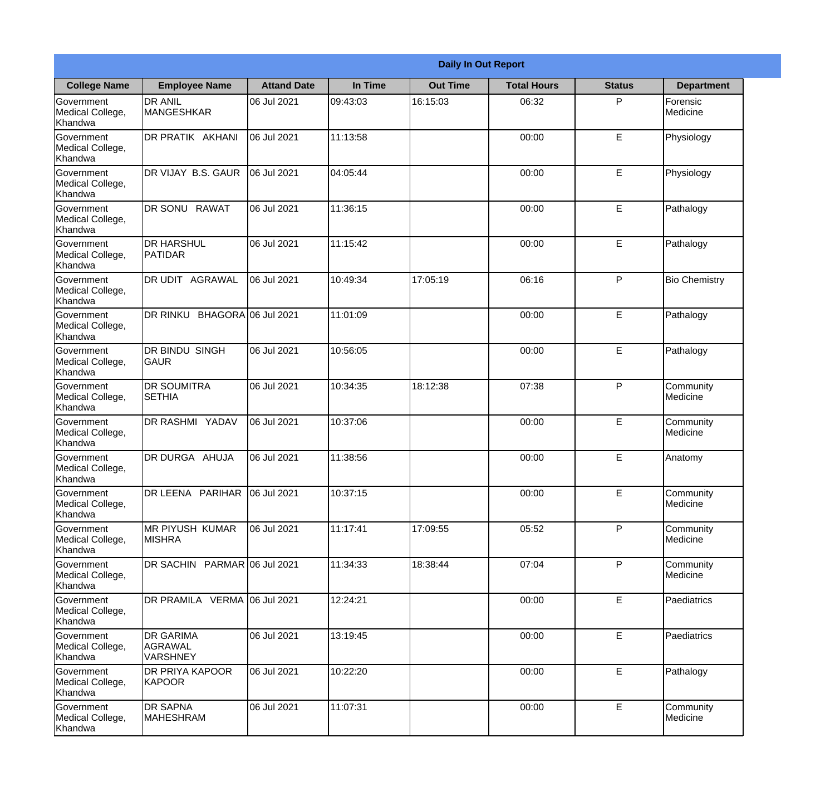|                                                  |                                                |                    |          | <b>Daily In Out Report</b> |                    |               |                       |
|--------------------------------------------------|------------------------------------------------|--------------------|----------|----------------------------|--------------------|---------------|-----------------------|
| <b>College Name</b>                              | <b>Employee Name</b>                           | <b>Attand Date</b> | In Time  | <b>Out Time</b>            | <b>Total Hours</b> | <b>Status</b> | <b>Department</b>     |
| Government<br>Medical College,<br>Khandwa        | <b>DR ANIL</b><br><b>MANGESHKAR</b>            | 06 Jul 2021        | 09:43:03 | 16:15:03                   | 06:32              | P             | Forensic<br>Medicine  |
| Government<br>Medical College,<br>Khandwa        | DR PRATIK AKHANI                               | 06 Jul 2021        | 11:13:58 |                            | 00:00              | E             | Physiology            |
| <b>Government</b><br>Medical College,<br>Khandwa | DR VIJAY B.S. GAUR                             | 06 Jul 2021        | 04:05:44 |                            | 00:00              | E             | Physiology            |
| Government<br>Medical College,<br>Khandwa        | DR SONU RAWAT                                  | 06 Jul 2021        | 11:36:15 |                            | 00:00              | E             | Pathalogy             |
| Government<br>Medical College,<br>Khandwa        | <b>DR HARSHUL</b><br>PATIDAR                   | 06 Jul 2021        | 11:15:42 |                            | 00:00              | E             | Pathalogy             |
| Government<br>Medical College,<br>Khandwa        | DR UDIT AGRAWAL                                | 06 Jul 2021        | 10:49:34 | 17:05:19                   | 06:16              | P             | <b>Bio Chemistry</b>  |
| Government<br>Medical College,<br>Khandwa        | DR RINKU<br>BHAGORA 06 Jul 2021                |                    | 11:01:09 |                            | 00:00              | E             | Pathalogy             |
| Government<br>Medical College,<br>Khandwa        | <b>DR BINDU SINGH</b><br><b>GAUR</b>           | 06 Jul 2021        | 10:56:05 |                            | 00:00              | E             | Pathalogy             |
| Government<br>Medical College,<br>Khandwa        | <b>DR SOUMITRA</b><br><b>SETHIA</b>            | 06 Jul 2021        | 10:34:35 | 18:12:38                   | 07:38              | P             | Community<br>Medicine |
| Government<br>Medical College,<br>Khandwa        | DR RASHMI YADAV                                | 06 Jul 2021        | 10:37:06 |                            | 00:00              | E             | Community<br>Medicine |
| Government<br>Medical College,<br>Khandwa        | <b>DR DURGA AHUJA</b>                          | 06 Jul 2021        | 11:38:56 |                            | 00:00              | E             | Anatomy               |
| Government<br>Medical College,<br>Khandwa        | DR LEENA PARIHAR                               | 06 Jul 2021        | 10:37:15 |                            | 00:00              | E             | Community<br>Medicine |
| Government<br>Medical College,<br>Khandwa        | MR PIYUSH KUMAR<br><b>MISHRA</b>               | 06 Jul 2021        | 11:17:41 | 17:09:55                   | 05:52              | P             | Community<br>Medicine |
| Government<br>Medical College,<br>Khandwa        | DR SACHIN PARMAR 06 Jul 2021                   |                    | 11:34:33 | 18:38:44                   | 07:04              | P             | Community<br>Medicine |
| Government<br>Medical College,<br>Khandwa        | DR PRAMILA VERMA 06 Jul 2021                   |                    | 12:24:21 |                            | 00:00              | E             | <b>Paediatrics</b>    |
| Government<br>Medical College,<br>Khandwa        | <b>DR GARIMA</b><br>AGRAWAL<br><b>VARSHNEY</b> | 06 Jul 2021        | 13:19:45 |                            | 00:00              | E             | Paediatrics           |
| Government<br>Medical College,<br>Khandwa        | <b>DR PRIYA KAPOOR</b><br>KAPOOR               | 06 Jul 2021        | 10:22:20 |                            | 00:00              | E             | Pathalogy             |
| Government<br>Medical College,<br>Khandwa        | <b>DR SAPNA</b><br><b>MAHESHRAM</b>            | 06 Jul 2021        | 11:07:31 |                            | 00:00              | E             | Community<br>Medicine |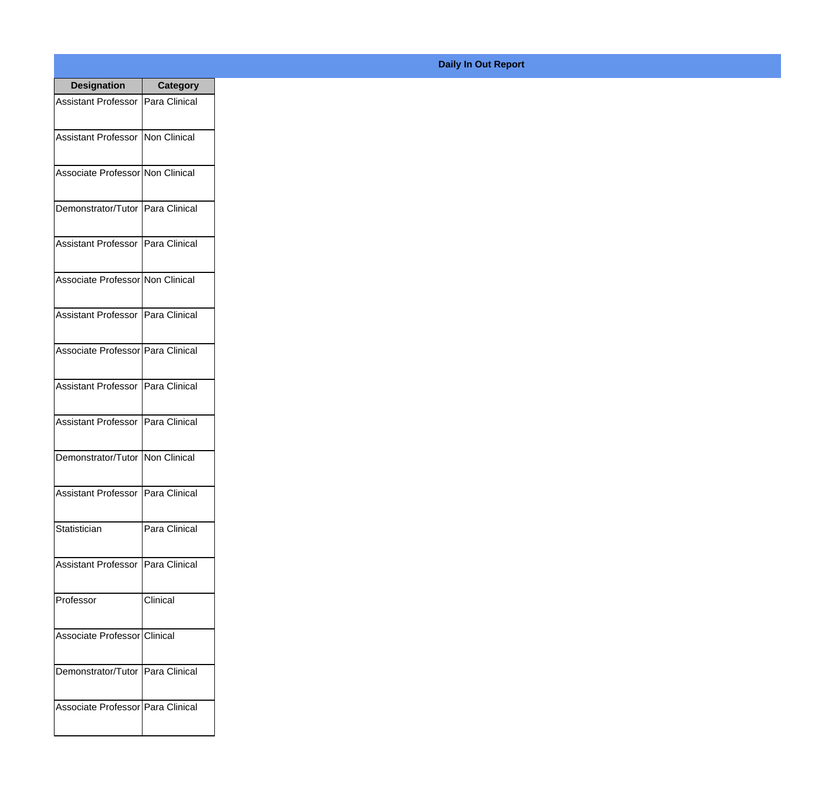| <b>Designation</b>                  | <b>Category</b> |
|-------------------------------------|-----------------|
| Assistant Professor   Para Clinical |                 |
| Assistant Professor   Non Clinical  |                 |
| Associate Professor Non Clinical    |                 |
| Demonstrator/Tutor   Para Clinical  |                 |
| Assistant Professor   Para Clinical |                 |
| Associate Professor Non Clinical    |                 |
| Assistant Professor   Para Clinical |                 |
| Associate Professor Para Clinical   |                 |
| Assistant Professor   Para Clinical |                 |
| Assistant Professor                 | Para Clinical   |
| Demonstrator/Tutor                  | Non Clinical    |
| Assistant Professor   Para Clinical |                 |
| Statistician                        | Para Clinical   |
| Assistant Professor   Para Clinical |                 |
| Professor                           | Clinical        |
| Associate Professor Clinical        |                 |
| Demonstrator/Tutor   Para Clinical  |                 |
| Associate Professor Para Clinical   |                 |

## **Daily In Out Report**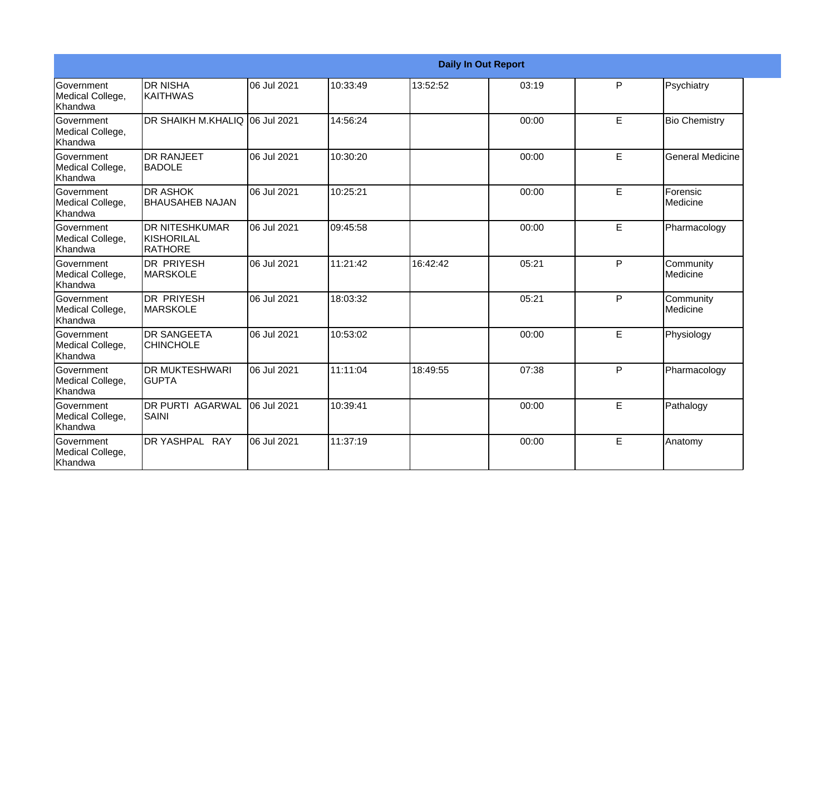|                                                  |                                                |             |          |          | <b>Daily In Out Report</b> |   |                         |
|--------------------------------------------------|------------------------------------------------|-------------|----------|----------|----------------------------|---|-------------------------|
| Government<br>Medical College,<br>Khandwa        | <b>DR NISHA</b><br>IKAITHWAS                   | 06 Jul 2021 | 10:33:49 | 13:52:52 | 03:19                      | P | Psychiatry              |
| Government<br>Medical College,<br>Khandwa        | <b>DR SHAIKH M.KHALIQ</b>                      | 06 Jul 2021 | 14:56:24 |          | 00:00                      | E | <b>Bio Chemistry</b>    |
| Government<br>Medical College,<br>Khandwa        | <b>DR RANJEET</b><br><b>BADOLE</b>             | 06 Jul 2021 | 10:30:20 |          | 00:00                      | E | <b>General Medicine</b> |
| Government<br>Medical College,<br>Khandwa        | <b>DR ASHOK</b><br><b>BHAUSAHEB NAJAN</b>      | 06 Jul 2021 | 10:25:21 |          | 00:00                      | E | Forensic<br>Medicine    |
| Government<br>Medical College,<br>Khandwa        | <b>DR NITESHKUMAR</b><br>KISHORILAL<br>RATHORE | 06 Jul 2021 | 09:45:58 |          | 00:00                      | E | Pharmacology            |
| Government<br>Medical College,<br><b>Khandwa</b> | <b>DR PRIYESH</b><br><b>MARSKOLE</b>           | 06 Jul 2021 | 11:21:42 | 16:42:42 | 05:21                      | P | Community<br>Medicine   |
| Government<br>Medical College,<br>Khandwa        | <b>DR PRIYESH</b><br><b>MARSKOLE</b>           | 06 Jul 2021 | 18:03:32 |          | 05:21                      | P | Community<br>Medicine   |
| Government<br>Medical College,<br>Khandwa        | <b>DR SANGEETA</b><br><b>CHINCHOLE</b>         | 06 Jul 2021 | 10:53:02 |          | 00:00                      | E | Physiology              |
| Government<br>Medical College,<br>Khandwa        | <b>DR MUKTESHWARI</b><br><b>GUPTA</b>          | 06 Jul 2021 | 11:11:04 | 18:49:55 | 07:38                      | P | Pharmacology            |
| Government<br>Medical College,<br>Khandwa        | <b>DR PURTI AGARWAL</b><br><b>SAINI</b>        | 06 Jul 2021 | 10:39:41 |          | 00:00                      | E | Pathalogy               |
| Government<br>Medical College,<br>Khandwa        | DR YASHPAL RAY                                 | 06 Jul 2021 | 11:37:19 |          | 00:00                      | E | Anatomy                 |